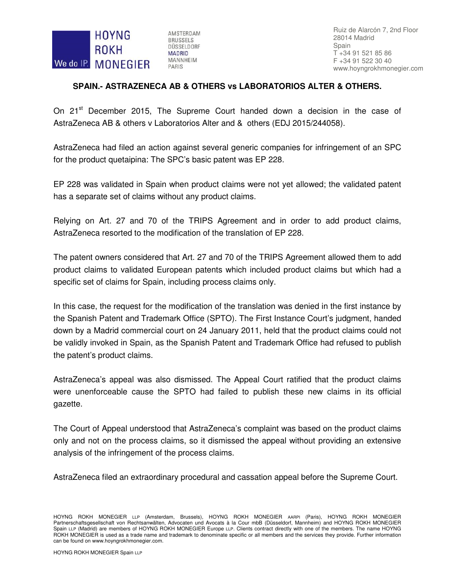

AMSTERDAM **BRUSSELS** DÜSSELDORF **MADRID MANNHEIM** PARIS

Ruiz de Alarcón 7, 2nd Floor 28014 Madrid Spain T +34 91 521 85 86 F +34 91 522 30 40 www.hoyngrokhmonegier.com

## **SPAIN.- ASTRAZENECA AB & OTHERS vs LABORATORIOS ALTER & OTHERS.**

On 21<sup>st</sup> December 2015, The Supreme Court handed down a decision in the case of AstraZeneca AB & others v Laboratorios Alter and & others (EDJ 2015/244058).

AstraZeneca had filed an action against several generic companies for infringement of an SPC for the product quetaipina: The SPC's basic patent was EP 228.

EP 228 was validated in Spain when product claims were not yet allowed; the validated patent has a separate set of claims without any product claims.

Relying on Art. 27 and 70 of the TRIPS Agreement and in order to add product claims, AstraZeneca resorted to the modification of the translation of EP 228.

The patent owners considered that Art. 27 and 70 of the TRIPS Agreement allowed them to add product claims to validated European patents which included product claims but which had a specific set of claims for Spain, including process claims only.

In this case, the request for the modification of the translation was denied in the first instance by the Spanish Patent and Trademark Office (SPTO). The First Instance Court's judgment, handed down by a Madrid commercial court on 24 January 2011, held that the product claims could not be validly invoked in Spain, as the Spanish Patent and Trademark Office had refused to publish the patent's product claims.

AstraZeneca's appeal was also dismissed. The Appeal Court ratified that the product claims were unenforceable cause the SPTO had failed to publish these new claims in its official gazette.

The Court of Appeal understood that AstraZeneca's complaint was based on the product claims only and not on the process claims, so it dismissed the appeal without providing an extensive analysis of the infringement of the process claims.

AstraZeneca filed an extraordinary procedural and cassation appeal before the Supreme Court.

HOYNG ROKH MONEGIER LLP (Amsterdam, Brussels), HOYNG ROKH MONEGIER AARPI (Paris), HOYNG ROKH MONEGIER Partnerschaftsgesellschaft von Rechtsanwälten, Advocaten und Avocats à la Cour mbB (Düsseldorf, Mannheim) and HOYNG ROKH MONEGIER Spain LLP (Madrid) are members of HOYNG ROKH MONEGIER Europe LLP. Clients contract directly with one of the members. The name HOYNG ROKH MONEGIER is used as a trade name and trademark to denominate specific or all members and the services they provide. Further information can be found on www.hoyngrokhmonegier.com.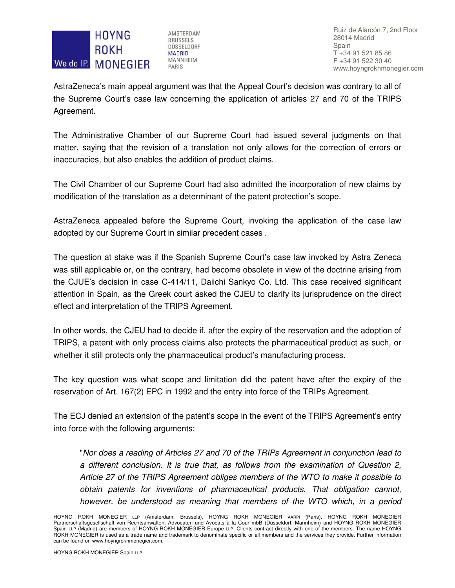

AMSTERDAM **BRUSSELS** DÜSSELDORF **MADRID MANNHEIM** PARIS

Ruiz de Alarcón 7, 2nd Floor 28014 Madrid Spain T +34 91 521 85 86 F +34 91 522 30 40 www.hoyngrokhmonegier.com

AstraZeneca's main appeal argument was that the Appeal Court's decision was contrary to all of the Supreme Court's case law concerning the application of articles 27 and 70 of the TRIPS Agreement.

The Administrative Chamber of our Supreme Court had issued several judgments on that matter, saying that the revision of a translation not only allows for the correction of errors or inaccuracies, but also enables the addition of product claims.

The Civil Chamber of our Supreme Court had also admitted the incorporation of new claims by modification of the translation as a determinant of the patent protection's scope.

AstraZeneca appealed before the Supreme Court, invoking the application of the case law adopted by our Supreme Court in similar precedent cases .

The question at stake was if the Spanish Supreme Court's case law invoked by Astra Zeneca was still applicable or, on the contrary, had become obsolete in view of the doctrine arising from the CJUE's decision in case C-414/11, Daiichi Sankyo Co. Ltd. This case received significant attention in Spain, as the Greek court asked the CJEU to clarify its jurisprudence on the direct effect and interpretation of the TRIPS Agreement.

In other words, the CJEU had to decide if, after the expiry of the reservation and the adoption of TRIPS, a patent with only process claims also protects the pharmaceutical product as such, or whether it still protects only the pharmaceutical product's manufacturing process.

The key question was what scope and limitation did the patent have after the expiry of the reservation of Art. 167(2) EPC in 1992 and the entry into force of the TRIPs Agreement.

The ECJ denied an extension of the patent's scope in the event of the TRIPS Agreement's entry into force with the following arguments:

"Nor does a reading of Articles 27 and 70 of the TRIPs Agreement in conjunction lead to a different conclusion. It is true that, as follows from the examination of Question 2, Article 27 of the TRIPS Agreement obliges members of the WTO to make it possible to obtain patents for inventions of pharmaceutical products. That obligation cannot, however, be understood as meaning that members of the WTO which, in a period

HOYNG ROKH MONEGIER LLP (Amsterdam, Brussels), HOYNG ROKH MONEGIER AARPI (Paris), HOYNG ROKH MONEGIER Partnerschaftsgesellschaft von Rechtsanwälten, Advocaten und Avocats à la Cour mbB (Düsseldorf, Mannheim) and HOYNG ROKH MONEGIER Spain LLP (Madrid) are members of HOYNG ROKH MONEGIER Europe LLP. Clients contract directly with one of the members. The name HOYNG ROKH MONEGIER is used as a trade name and trademark to denominate specific or all members and the services they provide. Further information can be found on www.hoyngrokhmonegier.com.